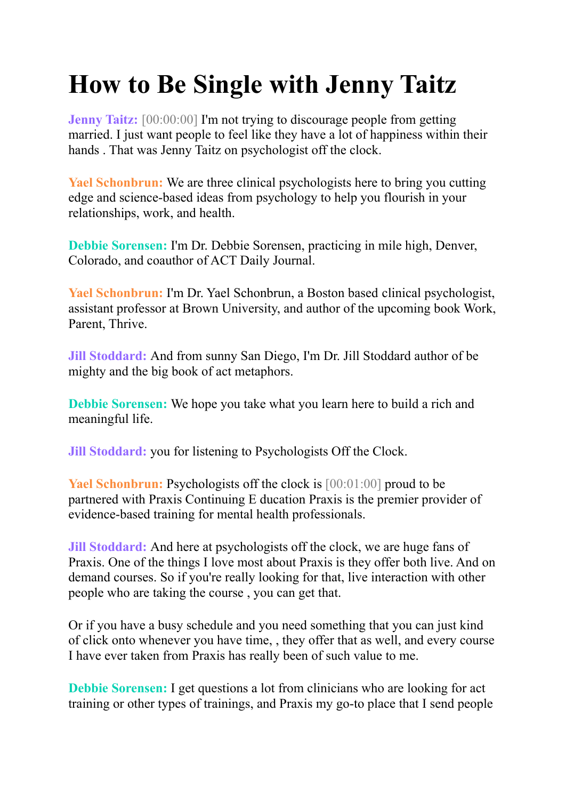## **How to Be Single with Jenny Taitz**

**Jenny Taitz:** [00:00:00] I'm not trying to discourage people from getting married. I just want people to feel like they have a lot of happiness within their hands . That was Jenny Taitz on psychologist off the clock.

**Yael Schonbrun:** We are three clinical psychologists here to bring you cutting edge and science-based ideas from psychology to help you flourish in your relationships, work, and health.

**Debbie Sorensen:** I'm Dr. Debbie Sorensen, practicing in mile high, Denver, Colorado, and coauthor of ACT Daily Journal.

**Yael Schonbrun:** I'm Dr. Yael Schonbrun, a Boston based clinical psychologist, assistant professor at Brown University, and author of the upcoming book Work, Parent, Thrive.

**Jill Stoddard:** And from sunny San Diego, I'm Dr. Jill Stoddard author of be mighty and the big book of act metaphors.

**Debbie Sorensen:** We hope you take what you learn here to build a rich and meaningful life.

**Jill Stoddard:** you for listening to Psychologists Off the Clock.

**Yael Schonbrun:** Psychologists off the clock is [00:01:00] proud to be partnered with Praxis Continuing E ducation Praxis is the premier provider of evidence-based training for mental health professionals.

**Jill Stoddard:** And here at psychologists off the clock, we are huge fans of Praxis. One of the things I love most about Praxis is they offer both live. And on demand courses. So if you're really looking for that, live interaction with other people who are taking the course , you can get that.

Or if you have a busy schedule and you need something that you can just kind of click onto whenever you have time, , they offer that as well, and every course I have ever taken from Praxis has really been of such value to me.

**Debbie Sorensen:** I get questions a lot from clinicians who are looking for act training or other types of trainings, and Praxis my go-to place that I send people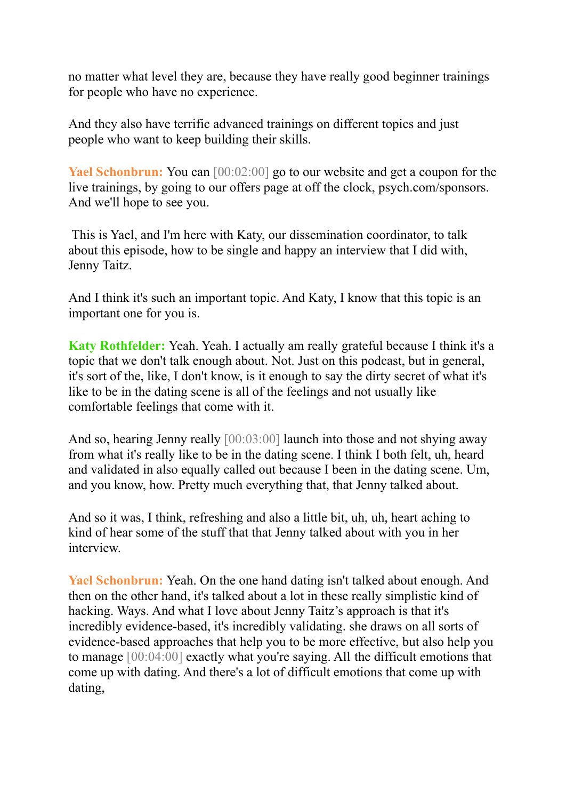no matter what level they are, because they have really good beginner trainings for people who have no experience.

And they also have terrific advanced trainings on different topics and just people who want to keep building their skills.

**Yael Schonbrun:** You can [00:02:00] go to our website and get a coupon for the live trainings, by going to our offers page at off the clock, psych.com/sponsors. And we'll hope to see you.

This is Yael, and I'm here with Katy, our dissemination coordinator, to talk about this episode, how to be single and happy an interview that I did with, Jenny Taitz.

And I think it's such an important topic. And Katy, I know that this topic is an important one for you is.

**Katy Rothfelder:** Yeah. Yeah. I actually am really grateful because I think it's a topic that we don't talk enough about. Not. Just on this podcast, but in general, it's sort of the, like, I don't know, is it enough to say the dirty secret of what it's like to be in the dating scene is all of the feelings and not usually like comfortable feelings that come with it.

And so, hearing Jenny really [00:03:00] launch into those and not shying away from what it's really like to be in the dating scene. I think I both felt, uh, heard and validated in also equally called out because I been in the dating scene. Um, and you know, how. Pretty much everything that, that Jenny talked about.

And so it was, I think, refreshing and also a little bit, uh, uh, heart aching to kind of hear some of the stuff that that Jenny talked about with you in her interview.

**Yael Schonbrun:** Yeah. On the one hand dating isn't talked about enough. And then on the other hand, it's talked about a lot in these really simplistic kind of hacking. Ways. And what I love about Jenny Taitz's approach is that it's incredibly evidence-based, it's incredibly validating. she draws on all sorts of evidence-based approaches that help you to be more effective, but also help you to manage [00:04:00] exactly what you're saying. All the difficult emotions that come up with dating. And there's a lot of difficult emotions that come up with dating,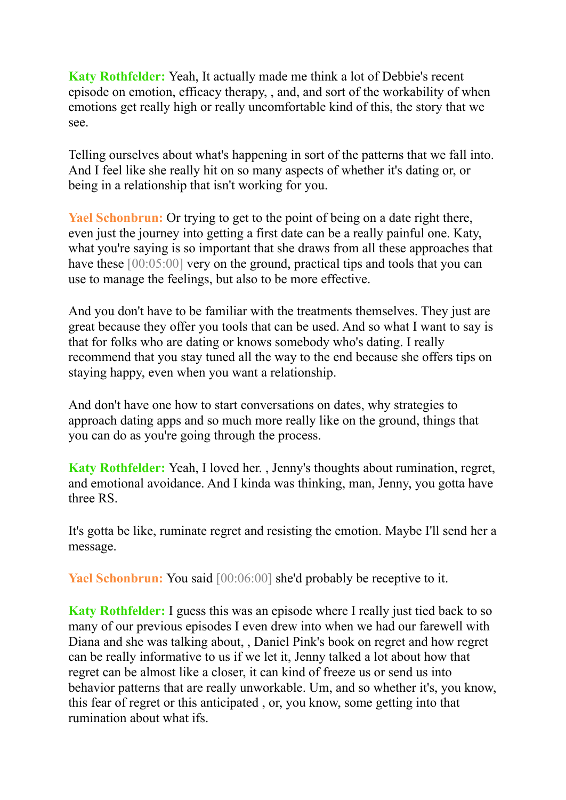**Katy Rothfelder:** Yeah, It actually made me think a lot of Debbie's recent episode on emotion, efficacy therapy, , and, and sort of the workability of when emotions get really high or really uncomfortable kind of this, the story that we see.

Telling ourselves about what's happening in sort of the patterns that we fall into. And I feel like she really hit on so many aspects of whether it's dating or, or being in a relationship that isn't working for you.

**Yael Schonbrun:** Or trying to get to the point of being on a date right there, even just the journey into getting a first date can be a really painful one. Katy, what you're saying is so important that she draws from all these approaches that have these [00:05:00] very on the ground, practical tips and tools that you can use to manage the feelings, but also to be more effective.

And you don't have to be familiar with the treatments themselves. They just are great because they offer you tools that can be used. And so what I want to say is that for folks who are dating or knows somebody who's dating. I really recommend that you stay tuned all the way to the end because she offers tips on staying happy, even when you want a relationship.

And don't have one how to start conversations on dates, why strategies to approach dating apps and so much more really like on the ground, things that you can do as you're going through the process.

**Katy Rothfelder:** Yeah, I loved her. , Jenny's thoughts about rumination, regret, and emotional avoidance. And I kinda was thinking, man, Jenny, you gotta have three RS.

It's gotta be like, ruminate regret and resisting the emotion. Maybe I'll send her a message.

**Yael Schonbrun:** You said  $[00:06:00]$  she'd probably be receptive to it.

**Katy Rothfelder:** I guess this was an episode where I really just tied back to so many of our previous episodes I even drew into when we had our farewell with Diana and she was talking about, , Daniel Pink's book on regret and how regret can be really informative to us if we let it, Jenny talked a lot about how that regret can be almost like a closer, it can kind of freeze us or send us into behavior patterns that are really unworkable. Um, and so whether it's, you know, this fear of regret or this anticipated , or, you know, some getting into that rumination about what ifs.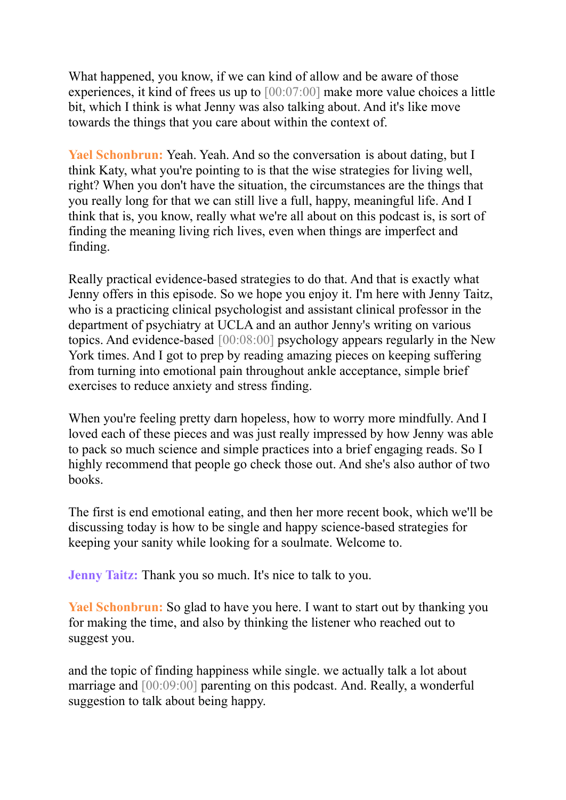What happened, you know, if we can kind of allow and be aware of those experiences, it kind of frees us up to [00:07:00] make more value choices a little bit, which I think is what Jenny was also talking about. And it's like move towards the things that you care about within the context of.

**Yael Schonbrun:** Yeah. Yeah. And so the conversation is about dating, but I think Katy, what you're pointing to is that the wise strategies for living well, right? When you don't have the situation, the circumstances are the things that you really long for that we can still live a full, happy, meaningful life. And I think that is, you know, really what we're all about on this podcast is, is sort of finding the meaning living rich lives, even when things are imperfect and finding.

Really practical evidence-based strategies to do that. And that is exactly what Jenny offers in this episode. So we hope you enjoy it. I'm here with Jenny Taitz, who is a practicing clinical psychologist and assistant clinical professor in the department of psychiatry at UCLA and an author Jenny's writing on various topics. And evidence-based [00:08:00] psychology appears regularly in the New York times. And I got to prep by reading amazing pieces on keeping suffering from turning into emotional pain throughout ankle acceptance, simple brief exercises to reduce anxiety and stress finding.

When you're feeling pretty darn hopeless, how to worry more mindfully. And I loved each of these pieces and was just really impressed by how Jenny was able to pack so much science and simple practices into a brief engaging reads. So I highly recommend that people go check those out. And she's also author of two books.

The first is end emotional eating, and then her more recent book, which we'll be discussing today is how to be single and happy science-based strategies for keeping your sanity while looking for a soulmate. Welcome to.

**Jenny Taitz:** Thank you so much. It's nice to talk to you.

**Yael Schonbrun:** So glad to have you here. I want to start out by thanking you for making the time, and also by thinking the listener who reached out to suggest you.

and the topic of finding happiness while single. we actually talk a lot about marriage and [00:09:00] parenting on this podcast. And. Really, a wonderful suggestion to talk about being happy.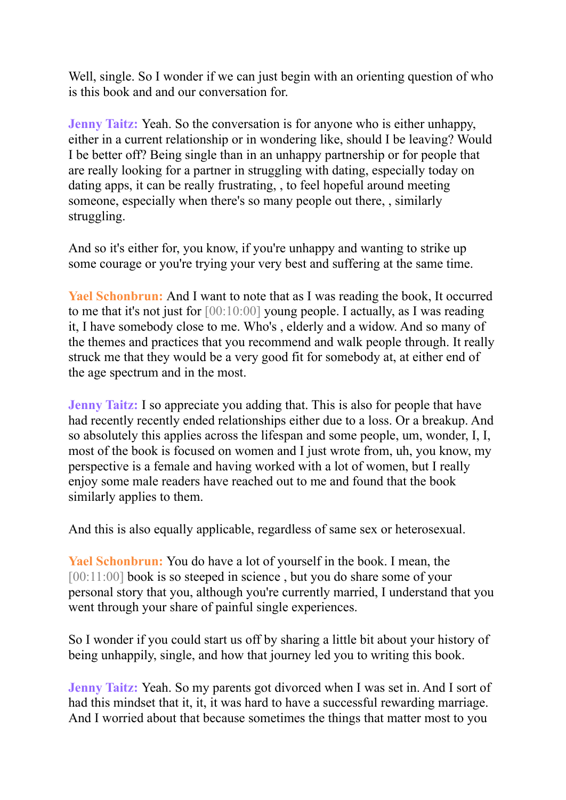Well, single. So I wonder if we can just begin with an orienting question of who is this book and and our conversation for.

**Jenny Taitz:** Yeah. So the conversation is for anyone who is either unhappy, either in a current relationship or in wondering like, should I be leaving? Would I be better off? Being single than in an unhappy partnership or for people that are really looking for a partner in struggling with dating, especially today on dating apps, it can be really frustrating, , to feel hopeful around meeting someone, especially when there's so many people out there, , similarly struggling.

And so it's either for, you know, if you're unhappy and wanting to strike up some courage or you're trying your very best and suffering at the same time.

**Yael Schonbrun:** And I want to note that as I was reading the book, It occurred to me that it's not just for [00:10:00] young people. I actually, as I was reading it, I have somebody close to me. Who's , elderly and a widow. And so many of the themes and practices that you recommend and walk people through. It really struck me that they would be a very good fit for somebody at, at either end of the age spectrum and in the most.

**Jenny Taitz:** I so appreciate you adding that. This is also for people that have had recently recently ended relationships either due to a loss. Or a breakup. And so absolutely this applies across the lifespan and some people, um, wonder, I, I, most of the book is focused on women and I just wrote from, uh, you know, my perspective is a female and having worked with a lot of women, but I really enjoy some male readers have reached out to me and found that the book similarly applies to them.

And this is also equally applicable, regardless of same sex or heterosexual.

**Yael Schonbrun:** You do have a lot of yourself in the book. I mean, the [00:11:00] book is so steeped in science, but you do share some of your personal story that you, although you're currently married, I understand that you went through your share of painful single experiences.

So I wonder if you could start us off by sharing a little bit about your history of being unhappily, single, and how that journey led you to writing this book.

**Jenny Taitz:** Yeah. So my parents got divorced when I was set in. And I sort of had this mindset that it, it, it was hard to have a successful rewarding marriage. And I worried about that because sometimes the things that matter most to you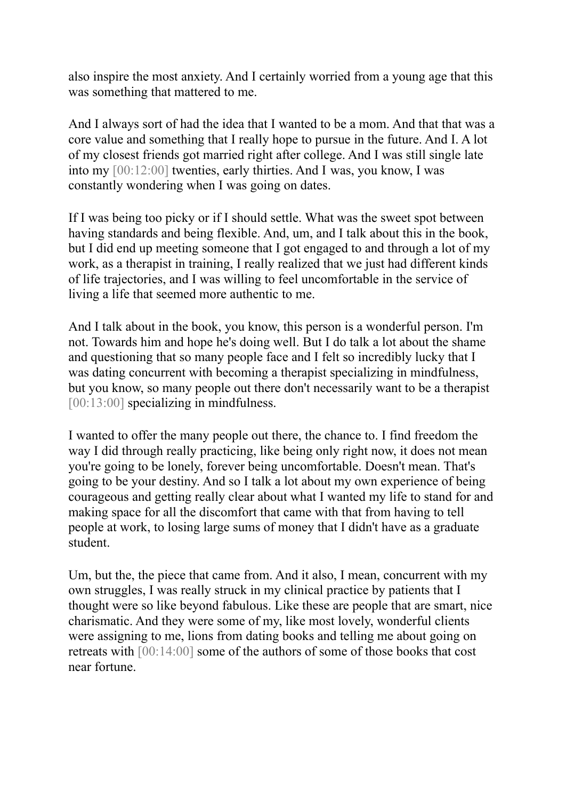also inspire the most anxiety. And I certainly worried from a young age that this was something that mattered to me.

And I always sort of had the idea that I wanted to be a mom. And that that was a core value and something that I really hope to pursue in the future. And I. A lot of my closest friends got married right after college. And I was still single late into my [00:12:00] twenties, early thirties. And I was, you know, I was constantly wondering when I was going on dates.

If I was being too picky or if I should settle. What was the sweet spot between having standards and being flexible. And, um, and I talk about this in the book, but I did end up meeting someone that I got engaged to and through a lot of my work, as a therapist in training, I really realized that we just had different kinds of life trajectories, and I was willing to feel uncomfortable in the service of living a life that seemed more authentic to me.

And I talk about in the book, you know, this person is a wonderful person. I'm not. Towards him and hope he's doing well. But I do talk a lot about the shame and questioning that so many people face and I felt so incredibly lucky that I was dating concurrent with becoming a therapist specializing in mindfulness, but you know, so many people out there don't necessarily want to be a therapist [00:13:00] specializing in mindfulness.

I wanted to offer the many people out there, the chance to. I find freedom the way I did through really practicing, like being only right now, it does not mean you're going to be lonely, forever being uncomfortable. Doesn't mean. That's going to be your destiny. And so I talk a lot about my own experience of being courageous and getting really clear about what I wanted my life to stand for and making space for all the discomfort that came with that from having to tell people at work, to losing large sums of money that I didn't have as a graduate student.

Um, but the, the piece that came from. And it also, I mean, concurrent with my own struggles, I was really struck in my clinical practice by patients that I thought were so like beyond fabulous. Like these are people that are smart, nice charismatic. And they were some of my, like most lovely, wonderful clients were assigning to me, lions from dating books and telling me about going on retreats with [00:14:00] some of the authors of some of those books that cost near fortune.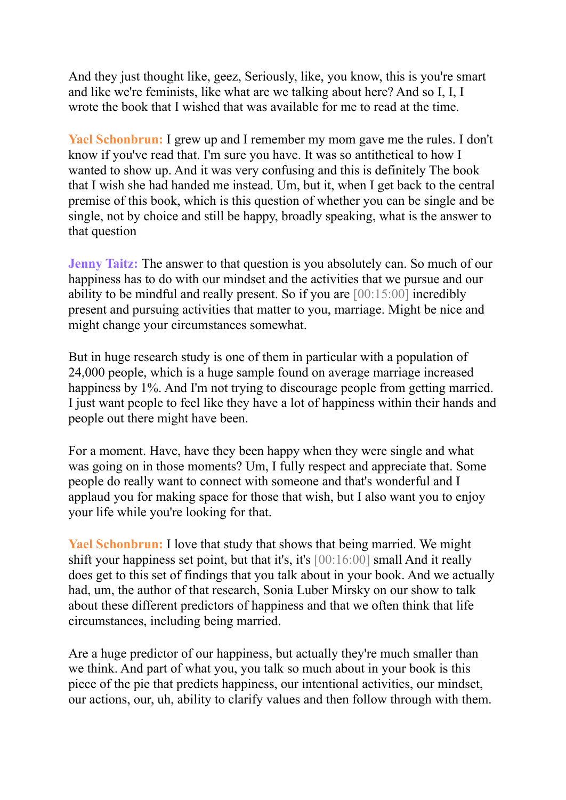And they just thought like, geez, Seriously, like, you know, this is you're smart and like we're feminists, like what are we talking about here? And so I, I, I wrote the book that I wished that was available for me to read at the time.

**Yael Schonbrun:** I grew up and I remember my mom gave me the rules. I don't know if you've read that. I'm sure you have. It was so antithetical to how I wanted to show up. And it was very confusing and this is definitely The book that I wish she had handed me instead. Um, but it, when I get back to the central premise of this book, which is this question of whether you can be single and be single, not by choice and still be happy, broadly speaking, what is the answer to that question

**Jenny Taitz:** The answer to that question is you absolutely can. So much of our happiness has to do with our mindset and the activities that we pursue and our ability to be mindful and really present. So if you are [00:15:00] incredibly present and pursuing activities that matter to you, marriage. Might be nice and might change your circumstances somewhat.

But in huge research study is one of them in particular with a population of 24,000 people, which is a huge sample found on average marriage increased happiness by 1%. And I'm not trying to discourage people from getting married. I just want people to feel like they have a lot of happiness within their hands and people out there might have been.

For a moment. Have, have they been happy when they were single and what was going on in those moments? Um, I fully respect and appreciate that. Some people do really want to connect with someone and that's wonderful and I applaud you for making space for those that wish, but I also want you to enjoy your life while you're looking for that.

**Yael Schonbrun:** I love that study that shows that being married. We might shift your happiness set point, but that it's, it's [00:16:00] small And it really does get to this set of findings that you talk about in your book. And we actually had, um, the author of that research, Sonia Luber Mirsky on our show to talk about these different predictors of happiness and that we often think that life circumstances, including being married.

Are a huge predictor of our happiness, but actually they're much smaller than we think. And part of what you, you talk so much about in your book is this piece of the pie that predicts happiness, our intentional activities, our mindset, our actions, our, uh, ability to clarify values and then follow through with them.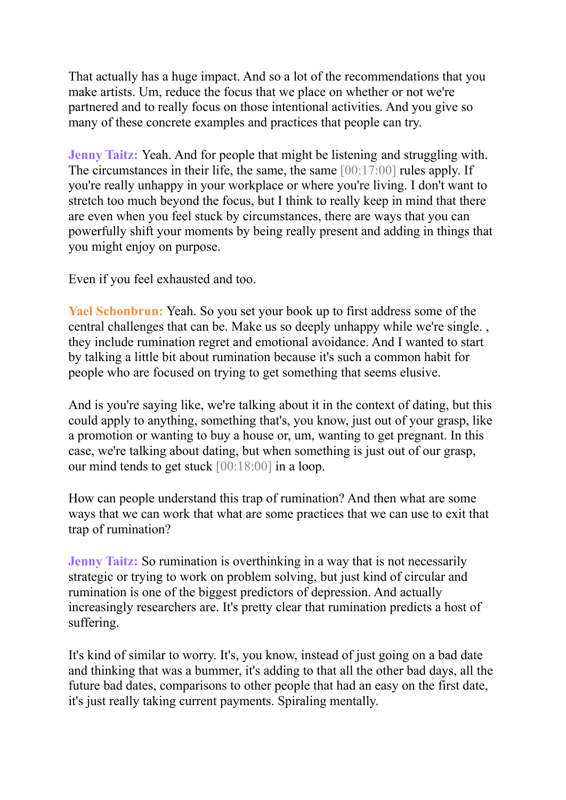That actually has a huge impact. And so a lot of the recommendations that you make artists. Um, reduce the focus that we place on whether or not we're partnered and to really focus on those intentional activities. And you give so many of these concrete examples and practices that people can try.

**Jenny Taitz:** Yeah. And for people that might be listening and struggling with. The circumstances in their life, the same, the same [00:17:00] rules apply. If you're really unhappy in your workplace or where you're living. I don't want to stretch too much beyond the focus, but I think to really keep in mind that there are even when you feel stuck by circumstances, there are ways that you can powerfully shift your moments by being really present and adding in things that you might enjoy on purpose.

Even if you feel exhausted and too.

**Yael Schonbrun:** Yeah. So you set your book up to first address some of the central challenges that can be. Make us so deeply unhappy while we're single. , they include rumination regret and emotional avoidance. And I wanted to start by talking a little bit about rumination because it's such a common habit for people who are focused on trying to get something that seems elusive.

And is you're saying like, we're talking about it in the context of dating, but this could apply to anything, something that's, you know, just out of your grasp, like a promotion or wanting to buy a house or, um, wanting to get pregnant. In this case, we're talking about dating, but when something is just out of our grasp, our mind tends to get stuck [00:18:00] in a loop.

How can people understand this trap of rumination? And then what are some ways that we can work that what are some practices that we can use to exit that trap of rumination?

**Jenny Taitz:** So rumination is overthinking in a way that is not necessarily strategic or trying to work on problem solving, but just kind of circular and rumination is one of the biggest predictors of depression. And actually increasingly researchers are. It's pretty clear that rumination predicts a host of suffering.

It's kind of similar to worry. It's, you know, instead of just going on a bad date and thinking that was a bummer, it's adding to that all the other bad days, all the future bad dates, comparisons to other people that had an easy on the first date, it's just really taking current payments. Spiraling mentally.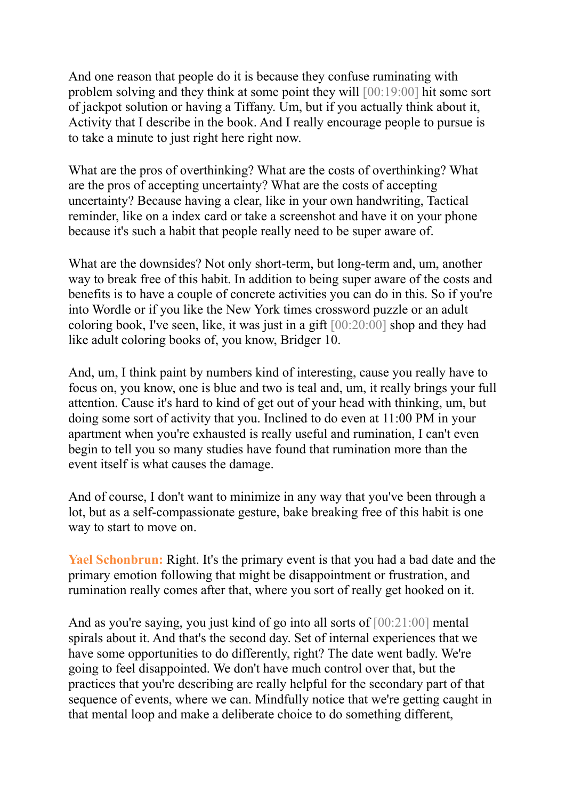And one reason that people do it is because they confuse ruminating with problem solving and they think at some point they will [00:19:00] hit some sort of jackpot solution or having a Tiffany. Um, but if you actually think about it, Activity that I describe in the book. And I really encourage people to pursue is to take a minute to just right here right now.

What are the pros of overthinking? What are the costs of overthinking? What are the pros of accepting uncertainty? What are the costs of accepting uncertainty? Because having a clear, like in your own handwriting, Tactical reminder, like on a index card or take a screenshot and have it on your phone because it's such a habit that people really need to be super aware of.

What are the downsides? Not only short-term, but long-term and, um, another way to break free of this habit. In addition to being super aware of the costs and benefits is to have a couple of concrete activities you can do in this. So if you're into Wordle or if you like the New York times crossword puzzle or an adult coloring book, I've seen, like, it was just in a gift [00:20:00] shop and they had like adult coloring books of, you know, Bridger 10.

And, um, I think paint by numbers kind of interesting, cause you really have to focus on, you know, one is blue and two is teal and, um, it really brings your full attention. Cause it's hard to kind of get out of your head with thinking, um, but doing some sort of activity that you. Inclined to do even at 11:00 PM in your apartment when you're exhausted is really useful and rumination, I can't even begin to tell you so many studies have found that rumination more than the event itself is what causes the damage.

And of course, I don't want to minimize in any way that you've been through a lot, but as a self-compassionate gesture, bake breaking free of this habit is one way to start to move on.

**Yael Schonbrun:** Right. It's the primary event is that you had a bad date and the primary emotion following that might be disappointment or frustration, and rumination really comes after that, where you sort of really get hooked on it.

And as you're saying, you just kind of go into all sorts of [00:21:00] mental spirals about it. And that's the second day. Set of internal experiences that we have some opportunities to do differently, right? The date went badly. We're going to feel disappointed. We don't have much control over that, but the practices that you're describing are really helpful for the secondary part of that sequence of events, where we can. Mindfully notice that we're getting caught in that mental loop and make a deliberate choice to do something different,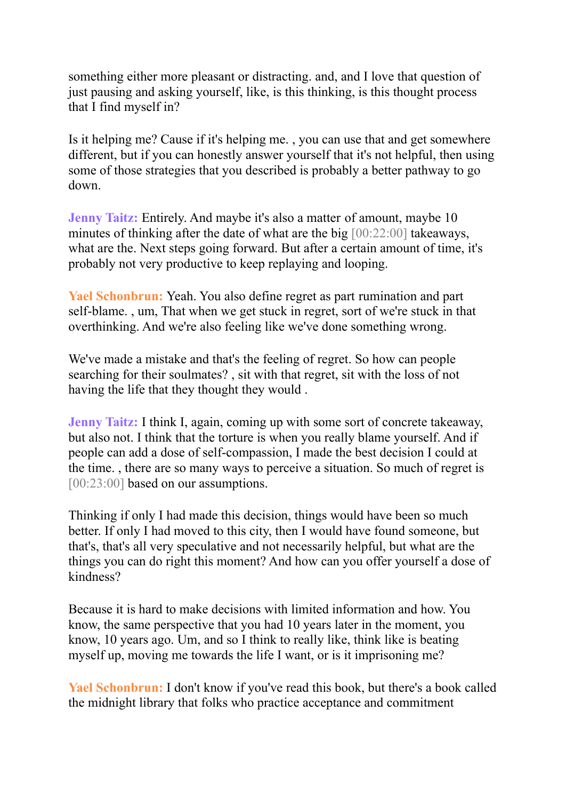something either more pleasant or distracting. and, and I love that question of just pausing and asking yourself, like, is this thinking, is this thought process that I find myself in?

Is it helping me? Cause if it's helping me. , you can use that and get somewhere different, but if you can honestly answer yourself that it's not helpful, then using some of those strategies that you described is probably a better pathway to go down.

**Jenny Taitz:** Entirely. And maybe it's also a matter of amount, maybe 10 minutes of thinking after the date of what are the big [00:22:00] takeaways, what are the. Next steps going forward. But after a certain amount of time, it's probably not very productive to keep replaying and looping.

**Yael Schonbrun:** Yeah. You also define regret as part rumination and part self-blame. , um, That when we get stuck in regret, sort of we're stuck in that overthinking. And we're also feeling like we've done something wrong.

We've made a mistake and that's the feeling of regret. So how can people searching for their soulmates? , sit with that regret, sit with the loss of not having the life that they thought they would .

**Jenny Taitz:** I think I, again, coming up with some sort of concrete takeaway, but also not. I think that the torture is when you really blame yourself. And if people can add a dose of self-compassion, I made the best decision I could at the time. , there are so many ways to perceive a situation. So much of regret is [00:23:00] based on our assumptions.

Thinking if only I had made this decision, things would have been so much better. If only I had moved to this city, then I would have found someone, but that's, that's all very speculative and not necessarily helpful, but what are the things you can do right this moment? And how can you offer yourself a dose of kindness?

Because it is hard to make decisions with limited information and how. You know, the same perspective that you had 10 years later in the moment, you know, 10 years ago. Um, and so I think to really like, think like is beating myself up, moving me towards the life I want, or is it imprisoning me?

**Yael Schonbrun:** I don't know if you've read this book, but there's a book called the midnight library that folks who practice acceptance and commitment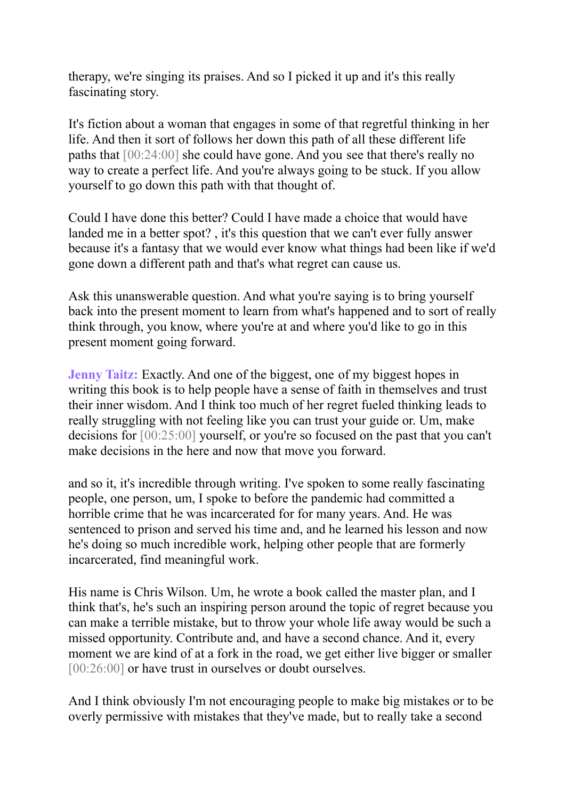therapy, we're singing its praises. And so I picked it up and it's this really fascinating story.

It's fiction about a woman that engages in some of that regretful thinking in her life. And then it sort of follows her down this path of all these different life paths that [00:24:00] she could have gone. And you see that there's really no way to create a perfect life. And you're always going to be stuck. If you allow yourself to go down this path with that thought of.

Could I have done this better? Could I have made a choice that would have landed me in a better spot? , it's this question that we can't ever fully answer because it's a fantasy that we would ever know what things had been like if we'd gone down a different path and that's what regret can cause us.

Ask this unanswerable question. And what you're saying is to bring yourself back into the present moment to learn from what's happened and to sort of really think through, you know, where you're at and where you'd like to go in this present moment going forward.

**Jenny Taitz:** Exactly. And one of the biggest, one of my biggest hopes in writing this book is to help people have a sense of faith in themselves and trust their inner wisdom. And I think too much of her regret fueled thinking leads to really struggling with not feeling like you can trust your guide or. Um, make decisions for [00:25:00] yourself, or you're so focused on the past that you can't make decisions in the here and now that move you forward.

and so it, it's incredible through writing. I've spoken to some really fascinating people, one person, um, I spoke to before the pandemic had committed a horrible crime that he was incarcerated for for many years. And. He was sentenced to prison and served his time and, and he learned his lesson and now he's doing so much incredible work, helping other people that are formerly incarcerated, find meaningful work.

His name is Chris Wilson. Um, he wrote a book called the master plan, and I think that's, he's such an inspiring person around the topic of regret because you can make a terrible mistake, but to throw your whole life away would be such a missed opportunity. Contribute and, and have a second chance. And it, every moment we are kind of at a fork in the road, we get either live bigger or smaller [00:26:00] or have trust in ourselves or doubt ourselves.

And I think obviously I'm not encouraging people to make big mistakes or to be overly permissive with mistakes that they've made, but to really take a second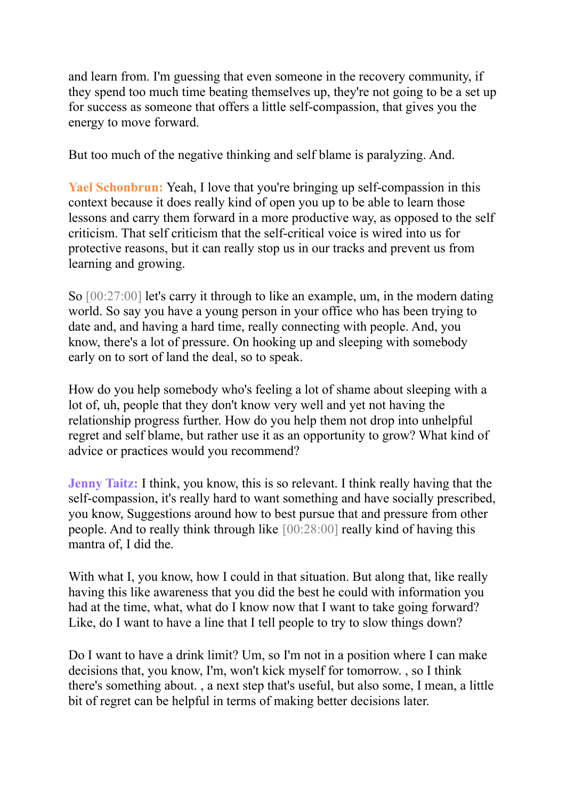and learn from. I'm guessing that even someone in the recovery community, if they spend too much time beating themselves up, they're not going to be a set up for success as someone that offers a little self-compassion, that gives you the energy to move forward.

But too much of the negative thinking and self blame is paralyzing. And.

**Yael Schonbrun:** Yeah, I love that you're bringing up self-compassion in this context because it does really kind of open you up to be able to learn those lessons and carry them forward in a more productive way, as opposed to the self criticism. That self criticism that the self-critical voice is wired into us for protective reasons, but it can really stop us in our tracks and prevent us from learning and growing.

So [00:27:00] let's carry it through to like an example, um, in the modern dating world. So say you have a young person in your office who has been trying to date and, and having a hard time, really connecting with people. And, you know, there's a lot of pressure. On hooking up and sleeping with somebody early on to sort of land the deal, so to speak.

How do you help somebody who's feeling a lot of shame about sleeping with a lot of, uh, people that they don't know very well and yet not having the relationship progress further. How do you help them not drop into unhelpful regret and self blame, but rather use it as an opportunity to grow? What kind of advice or practices would you recommend?

**Jenny Taitz:** I think, you know, this is so relevant. I think really having that the self-compassion, it's really hard to want something and have socially prescribed, you know, Suggestions around how to best pursue that and pressure from other people. And to really think through like [00:28:00] really kind of having this mantra of, I did the.

With what I, you know, how I could in that situation. But along that, like really having this like awareness that you did the best he could with information you had at the time, what, what do I know now that I want to take going forward? Like, do I want to have a line that I tell people to try to slow things down?

Do I want to have a drink limit? Um, so I'm not in a position where I can make decisions that, you know, I'm, won't kick myself for tomorrow. , so I think there's something about. , a next step that's useful, but also some, I mean, a little bit of regret can be helpful in terms of making better decisions later.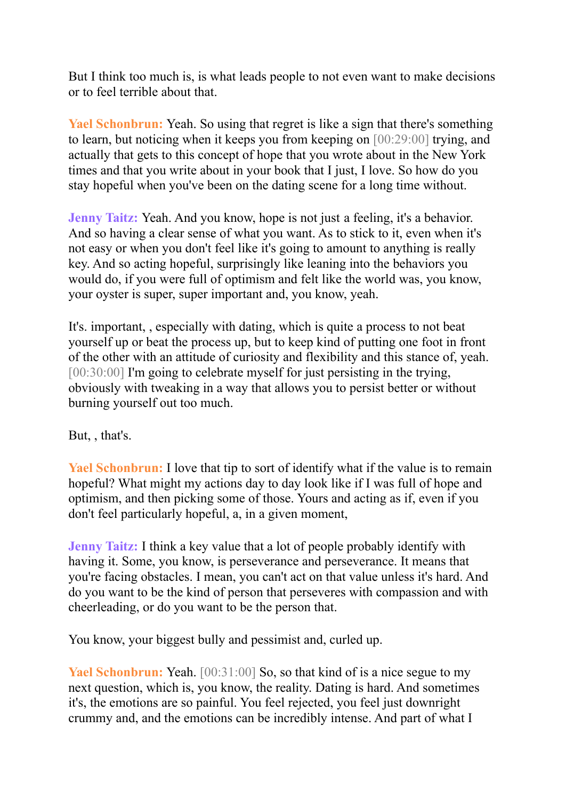But I think too much is, is what leads people to not even want to make decisions or to feel terrible about that.

**Yael Schonbrun:** Yeah. So using that regret is like a sign that there's something to learn, but noticing when it keeps you from keeping on [00:29:00] trying, and actually that gets to this concept of hope that you wrote about in the New York times and that you write about in your book that I just, I love. So how do you stay hopeful when you've been on the dating scene for a long time without.

**Jenny Taitz:** Yeah. And you know, hope is not just a feeling, it's a behavior. And so having a clear sense of what you want. As to stick to it, even when it's not easy or when you don't feel like it's going to amount to anything is really key. And so acting hopeful, surprisingly like leaning into the behaviors you would do, if you were full of optimism and felt like the world was, you know, your oyster is super, super important and, you know, yeah.

It's. important, , especially with dating, which is quite a process to not beat yourself up or beat the process up, but to keep kind of putting one foot in front of the other with an attitude of curiosity and flexibility and this stance of, yeah. [00:30:00] I'm going to celebrate myself for just persisting in the trying, obviously with tweaking in a way that allows you to persist better or without burning yourself out too much.

But, , that's.

**Yael Schonbrun:** I love that tip to sort of identify what if the value is to remain hopeful? What might my actions day to day look like if I was full of hope and optimism, and then picking some of those. Yours and acting as if, even if you don't feel particularly hopeful, a, in a given moment,

**Jenny Taitz:** I think a key value that a lot of people probably identify with having it. Some, you know, is perseverance and perseverance. It means that you're facing obstacles. I mean, you can't act on that value unless it's hard. And do you want to be the kind of person that perseveres with compassion and with cheerleading, or do you want to be the person that.

You know, your biggest bully and pessimist and, curled up.

**Yael Schonbrun:** Yeah. [00:31:00] So, so that kind of is a nice segue to my next question, which is, you know, the reality. Dating is hard. And sometimes it's, the emotions are so painful. You feel rejected, you feel just downright crummy and, and the emotions can be incredibly intense. And part of what I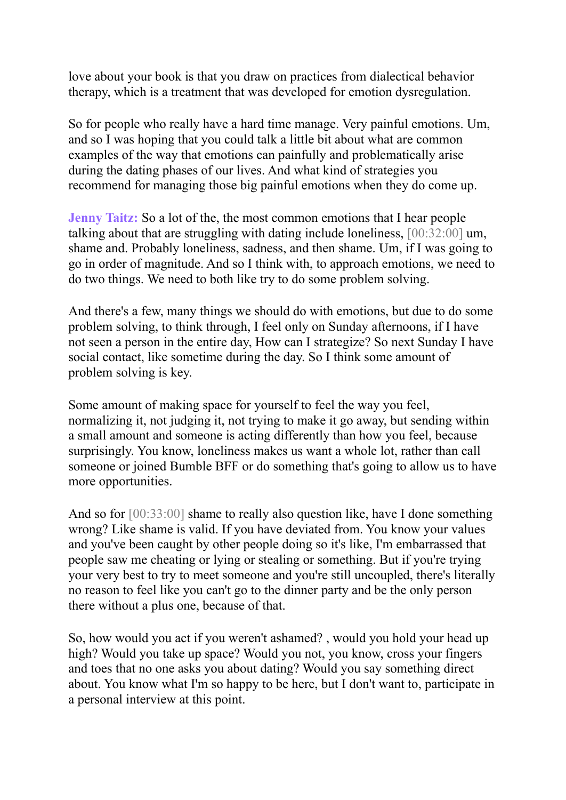love about your book is that you draw on practices from dialectical behavior therapy, which is a treatment that was developed for emotion dysregulation.

So for people who really have a hard time manage. Very painful emotions. Um, and so I was hoping that you could talk a little bit about what are common examples of the way that emotions can painfully and problematically arise during the dating phases of our lives. And what kind of strategies you recommend for managing those big painful emotions when they do come up.

**Jenny Taitz:** So a lot of the, the most common emotions that I hear people talking about that are struggling with dating include loneliness, [00:32:00] um, shame and. Probably loneliness, sadness, and then shame. Um, if I was going to go in order of magnitude. And so I think with, to approach emotions, we need to do two things. We need to both like try to do some problem solving.

And there's a few, many things we should do with emotions, but due to do some problem solving, to think through, I feel only on Sunday afternoons, if I have not seen a person in the entire day, How can I strategize? So next Sunday I have social contact, like sometime during the day. So I think some amount of problem solving is key.

Some amount of making space for yourself to feel the way you feel, normalizing it, not judging it, not trying to make it go away, but sending within a small amount and someone is acting differently than how you feel, because surprisingly. You know, loneliness makes us want a whole lot, rather than call someone or joined Bumble BFF or do something that's going to allow us to have more opportunities.

And so for [00:33:00] shame to really also question like, have I done something wrong? Like shame is valid. If you have deviated from. You know your values and you've been caught by other people doing so it's like, I'm embarrassed that people saw me cheating or lying or stealing or something. But if you're trying your very best to try to meet someone and you're still uncoupled, there's literally no reason to feel like you can't go to the dinner party and be the only person there without a plus one, because of that.

So, how would you act if you weren't ashamed? , would you hold your head up high? Would you take up space? Would you not, you know, cross your fingers and toes that no one asks you about dating? Would you say something direct about. You know what I'm so happy to be here, but I don't want to, participate in a personal interview at this point.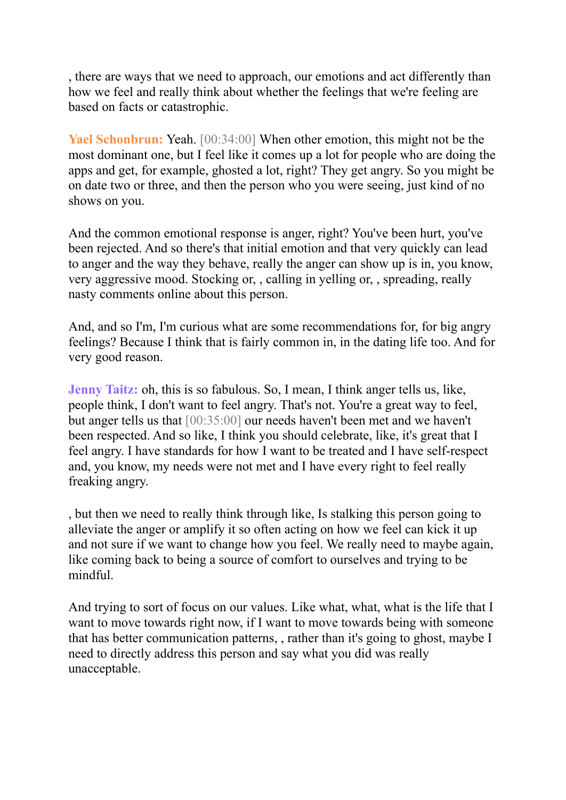, there are ways that we need to approach, our emotions and act differently than how we feel and really think about whether the feelings that we're feeling are based on facts or catastrophic.

**Yael Schonbrun:** Yeah. [00:34:00] When other emotion, this might not be the most dominant one, but I feel like it comes up a lot for people who are doing the apps and get, for example, ghosted a lot, right? They get angry. So you might be on date two or three, and then the person who you were seeing, just kind of no shows on you.

And the common emotional response is anger, right? You've been hurt, you've been rejected. And so there's that initial emotion and that very quickly can lead to anger and the way they behave, really the anger can show up is in, you know, very aggressive mood. Stocking or, , calling in yelling or, , spreading, really nasty comments online about this person.

And, and so I'm, I'm curious what are some recommendations for, for big angry feelings? Because I think that is fairly common in, in the dating life too. And for very good reason.

**Jenny Taitz:** oh, this is so fabulous. So, I mean, I think anger tells us, like, people think, I don't want to feel angry. That's not. You're a great way to feel, but anger tells us that [00:35:00] our needs haven't been met and we haven't been respected. And so like, I think you should celebrate, like, it's great that I feel angry. I have standards for how I want to be treated and I have self-respect and, you know, my needs were not met and I have every right to feel really freaking angry.

, but then we need to really think through like, Is stalking this person going to alleviate the anger or amplify it so often acting on how we feel can kick it up and not sure if we want to change how you feel. We really need to maybe again, like coming back to being a source of comfort to ourselves and trying to be mindful.

And trying to sort of focus on our values. Like what, what, what is the life that I want to move towards right now, if I want to move towards being with someone that has better communication patterns, , rather than it's going to ghost, maybe I need to directly address this person and say what you did was really unacceptable.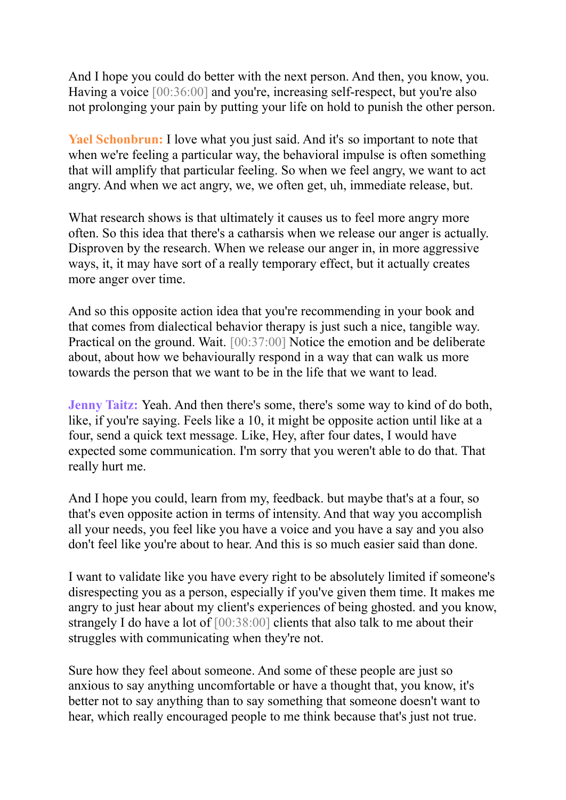And I hope you could do better with the next person. And then, you know, you. Having a voice  $[00:36:00]$  and you're, increasing self-respect, but you're also not prolonging your pain by putting your life on hold to punish the other person.

**Yael Schonbrun:** I love what you just said. And it's so important to note that when we're feeling a particular way, the behavioral impulse is often something that will amplify that particular feeling. So when we feel angry, we want to act angry. And when we act angry, we, we often get, uh, immediate release, but.

What research shows is that ultimately it causes us to feel more angry more often. So this idea that there's a catharsis when we release our anger is actually. Disproven by the research. When we release our anger in, in more aggressive ways, it, it may have sort of a really temporary effect, but it actually creates more anger over time.

And so this opposite action idea that you're recommending in your book and that comes from dialectical behavior therapy is just such a nice, tangible way. Practical on the ground. Wait. [00:37:00] Notice the emotion and be deliberate about, about how we behaviourally respond in a way that can walk us more towards the person that we want to be in the life that we want to lead.

**Jenny Taitz:** Yeah. And then there's some, there's some way to kind of do both, like, if you're saying. Feels like a 10, it might be opposite action until like at a four, send a quick text message. Like, Hey, after four dates, I would have expected some communication. I'm sorry that you weren't able to do that. That really hurt me.

And I hope you could, learn from my, feedback. but maybe that's at a four, so that's even opposite action in terms of intensity. And that way you accomplish all your needs, you feel like you have a voice and you have a say and you also don't feel like you're about to hear. And this is so much easier said than done.

I want to validate like you have every right to be absolutely limited if someone's disrespecting you as a person, especially if you've given them time. It makes me angry to just hear about my client's experiences of being ghosted. and you know, strangely I do have a lot of [00:38:00] clients that also talk to me about their struggles with communicating when they're not.

Sure how they feel about someone. And some of these people are just so anxious to say anything uncomfortable or have a thought that, you know, it's better not to say anything than to say something that someone doesn't want to hear, which really encouraged people to me think because that's just not true.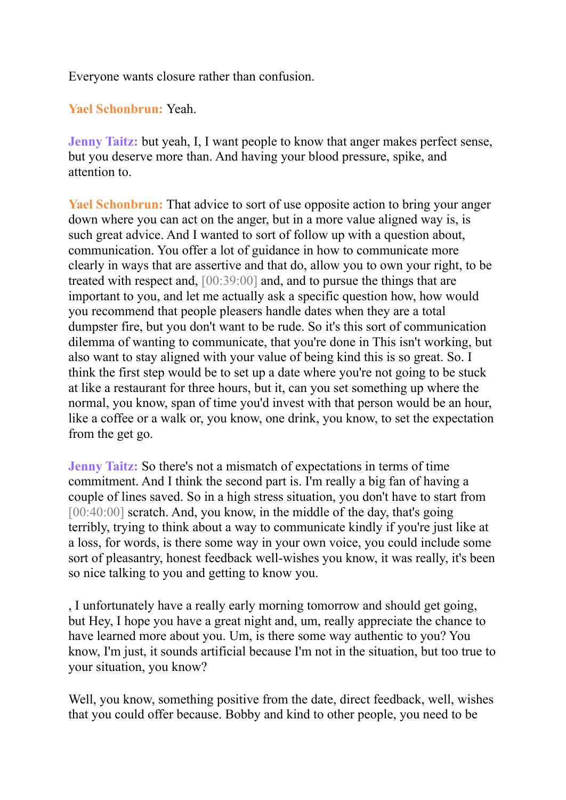Everyone wants closure rather than confusion.

## **Yael Schonbrun:** Yeah.

**Jenny Taitz:** but yeah, I, I want people to know that anger makes perfect sense, but you deserve more than. And having your blood pressure, spike, and attention to.

**Yael Schonbrun:** That advice to sort of use opposite action to bring your anger down where you can act on the anger, but in a more value aligned way is, is such great advice. And I wanted to sort of follow up with a question about, communication. You offer a lot of guidance in how to communicate more clearly in ways that are assertive and that do, allow you to own your right, to be treated with respect and, [00:39:00] and, and to pursue the things that are important to you, and let me actually ask a specific question how, how would you recommend that people pleasers handle dates when they are a total dumpster fire, but you don't want to be rude. So it's this sort of communication dilemma of wanting to communicate, that you're done in This isn't working, but also want to stay aligned with your value of being kind this is so great. So. I think the first step would be to set up a date where you're not going to be stuck at like a restaurant for three hours, but it, can you set something up where the normal, you know, span of time you'd invest with that person would be an hour, like a coffee or a walk or, you know, one drink, you know, to set the expectation from the get go.

**Jenny Taitz:** So there's not a mismatch of expectations in terms of time commitment. And I think the second part is. I'm really a big fan of having a couple of lines saved. So in a high stress situation, you don't have to start from [00:40:00] scratch. And, you know, in the middle of the day, that's going terribly, trying to think about a way to communicate kindly if you're just like at a loss, for words, is there some way in your own voice, you could include some sort of pleasantry, honest feedback well-wishes you know, it was really, it's been so nice talking to you and getting to know you.

, I unfortunately have a really early morning tomorrow and should get going, but Hey, I hope you have a great night and, um, really appreciate the chance to have learned more about you. Um, is there some way authentic to you? You know, I'm just, it sounds artificial because I'm not in the situation, but too true to your situation, you know?

Well, you know, something positive from the date, direct feedback, well, wishes that you could offer because. Bobby and kind to other people, you need to be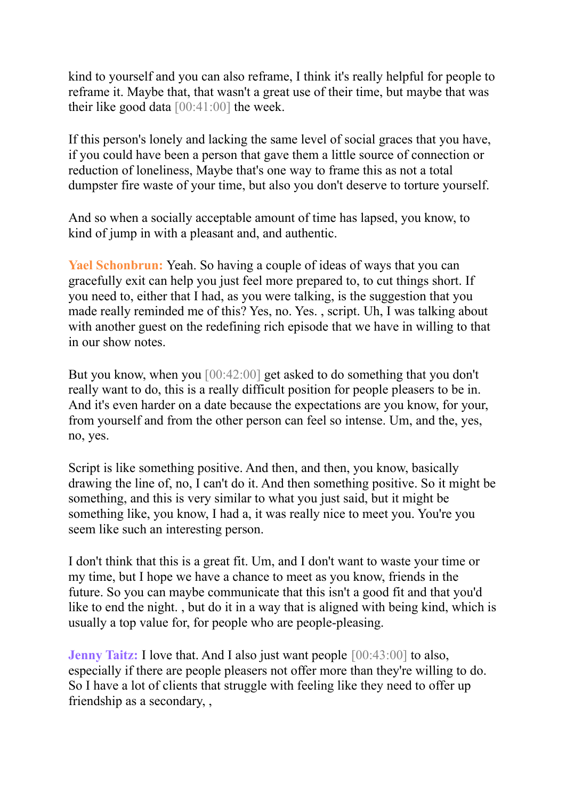kind to yourself and you can also reframe, I think it's really helpful for people to reframe it. Maybe that, that wasn't a great use of their time, but maybe that was their like good data  $[00:41:00]$  the week.

If this person's lonely and lacking the same level of social graces that you have, if you could have been a person that gave them a little source of connection or reduction of loneliness, Maybe that's one way to frame this as not a total dumpster fire waste of your time, but also you don't deserve to torture yourself.

And so when a socially acceptable amount of time has lapsed, you know, to kind of jump in with a pleasant and, and authentic.

**Yael Schonbrun:** Yeah. So having a couple of ideas of ways that you can gracefully exit can help you just feel more prepared to, to cut things short. If you need to, either that I had, as you were talking, is the suggestion that you made really reminded me of this? Yes, no. Yes. , script. Uh, I was talking about with another guest on the redefining rich episode that we have in willing to that in our show notes.

But you know, when you [00:42:00] get asked to do something that you don't really want to do, this is a really difficult position for people pleasers to be in. And it's even harder on a date because the expectations are you know, for your, from yourself and from the other person can feel so intense. Um, and the, yes, no, yes.

Script is like something positive. And then, and then, you know, basically drawing the line of, no, I can't do it. And then something positive. So it might be something, and this is very similar to what you just said, but it might be something like, you know, I had a, it was really nice to meet you. You're you seem like such an interesting person.

I don't think that this is a great fit. Um, and I don't want to waste your time or my time, but I hope we have a chance to meet as you know, friends in the future. So you can maybe communicate that this isn't a good fit and that you'd like to end the night. , but do it in a way that is aligned with being kind, which is usually a top value for, for people who are people-pleasing.

**Jenny Taitz:** I love that. And I also just want people  $[00:43:00]$  to also, especially if there are people pleasers not offer more than they're willing to do. So I have a lot of clients that struggle with feeling like they need to offer up friendship as a secondary, ,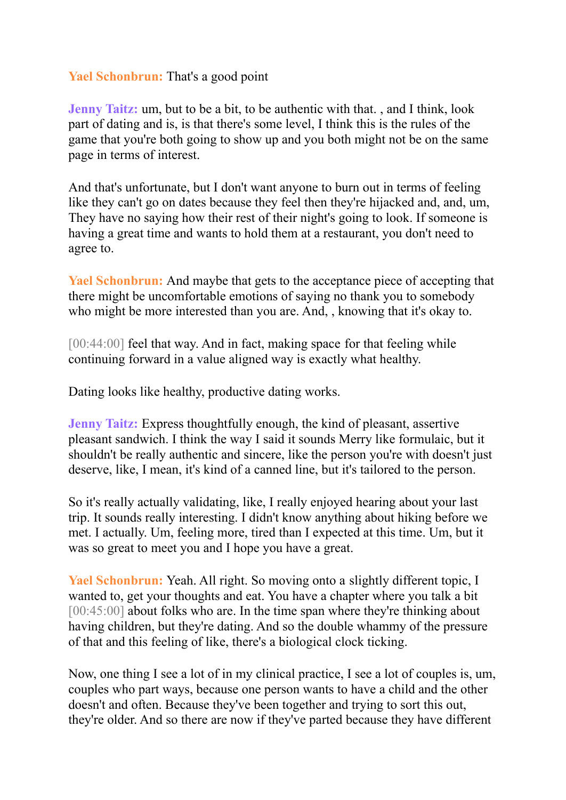## **Yael Schonbrun:** That's a good point

**Jenny Taitz:** um, but to be a bit, to be authentic with that. , and I think, look part of dating and is, is that there's some level, I think this is the rules of the game that you're both going to show up and you both might not be on the same page in terms of interest.

And that's unfortunate, but I don't want anyone to burn out in terms of feeling like they can't go on dates because they feel then they're hijacked and, and, um, They have no saying how their rest of their night's going to look. If someone is having a great time and wants to hold them at a restaurant, you don't need to agree to.

**Yael Schonbrun:** And maybe that gets to the acceptance piece of accepting that there might be uncomfortable emotions of saying no thank you to somebody who might be more interested than you are. And, , knowing that it's okay to.

[00:44:00] feel that way. And in fact, making space for that feeling while continuing forward in a value aligned way is exactly what healthy.

Dating looks like healthy, productive dating works.

**Jenny Taitz:** Express thoughtfully enough, the kind of pleasant, assertive pleasant sandwich. I think the way I said it sounds Merry like formulaic, but it shouldn't be really authentic and sincere, like the person you're with doesn't just deserve, like, I mean, it's kind of a canned line, but it's tailored to the person.

So it's really actually validating, like, I really enjoyed hearing about your last trip. It sounds really interesting. I didn't know anything about hiking before we met. I actually. Um, feeling more, tired than I expected at this time. Um, but it was so great to meet you and I hope you have a great.

**Yael Schonbrun:** Yeah. All right. So moving onto a slightly different topic, I wanted to, get your thoughts and eat. You have a chapter where you talk a bit [00:45:00] about folks who are. In the time span where they're thinking about having children, but they're dating. And so the double whammy of the pressure of that and this feeling of like, there's a biological clock ticking.

Now, one thing I see a lot of in my clinical practice, I see a lot of couples is, um, couples who part ways, because one person wants to have a child and the other doesn't and often. Because they've been together and trying to sort this out, they're older. And so there are now if they've parted because they have different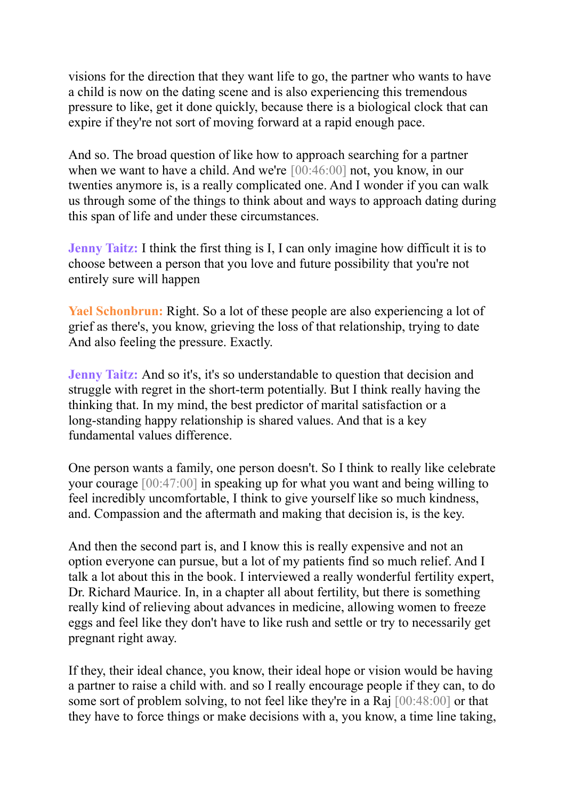visions for the direction that they want life to go, the partner who wants to have a child is now on the dating scene and is also experiencing this tremendous pressure to like, get it done quickly, because there is a biological clock that can expire if they're not sort of moving forward at a rapid enough pace.

And so. The broad question of like how to approach searching for a partner when we want to have a child. And we're [00:46:00] not, you know, in our twenties anymore is, is a really complicated one. And I wonder if you can walk us through some of the things to think about and ways to approach dating during this span of life and under these circumstances.

**Jenny Taitz:** I think the first thing is I, I can only imagine how difficult it is to choose between a person that you love and future possibility that you're not entirely sure will happen

**Yael Schonbrun:** Right. So a lot of these people are also experiencing a lot of grief as there's, you know, grieving the loss of that relationship, trying to date And also feeling the pressure. Exactly.

**Jenny Taitz:** And so it's, it's so understandable to question that decision and struggle with regret in the short-term potentially. But I think really having the thinking that. In my mind, the best predictor of marital satisfaction or a long-standing happy relationship is shared values. And that is a key fundamental values difference.

One person wants a family, one person doesn't. So I think to really like celebrate your courage [00:47:00] in speaking up for what you want and being willing to feel incredibly uncomfortable, I think to give yourself like so much kindness, and. Compassion and the aftermath and making that decision is, is the key.

And then the second part is, and I know this is really expensive and not an option everyone can pursue, but a lot of my patients find so much relief. And I talk a lot about this in the book. I interviewed a really wonderful fertility expert, Dr. Richard Maurice. In, in a chapter all about fertility, but there is something really kind of relieving about advances in medicine, allowing women to freeze eggs and feel like they don't have to like rush and settle or try to necessarily get pregnant right away.

If they, their ideal chance, you know, their ideal hope or vision would be having a partner to raise a child with. and so I really encourage people if they can, to do some sort of problem solving, to not feel like they're in a Raj [00:48:00] or that they have to force things or make decisions with a, you know, a time line taking,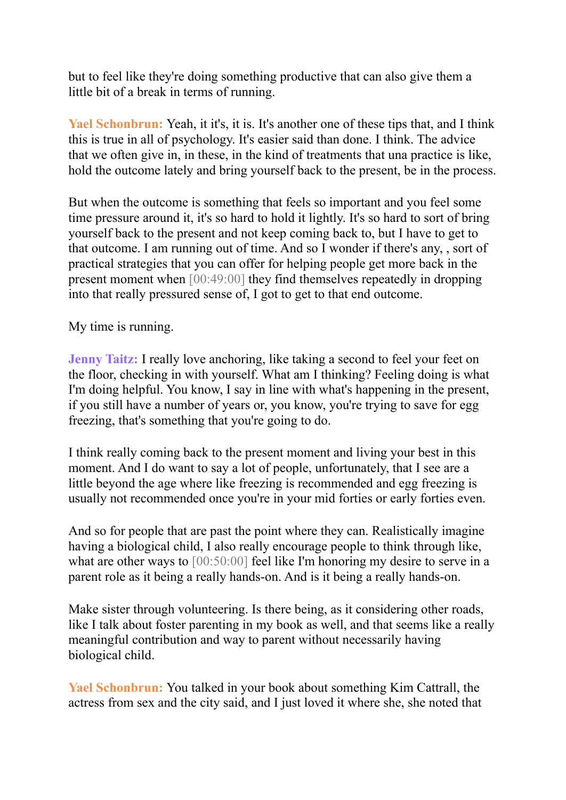but to feel like they're doing something productive that can also give them a little bit of a break in terms of running.

Yael Schonbrun: Yeah, it it's, it is. It's another one of these tips that, and I think this is true in all of psychology. It's easier said than done. I think. The advice that we often give in, in these, in the kind of treatments that una practice is like, hold the outcome lately and bring yourself back to the present, be in the process.

But when the outcome is something that feels so important and you feel some time pressure around it, it's so hard to hold it lightly. It's so hard to sort of bring yourself back to the present and not keep coming back to, but I have to get to that outcome. I am running out of time. And so I wonder if there's any, , sort of practical strategies that you can offer for helping people get more back in the present moment when [00:49:00] they find themselves repeatedly in dropping into that really pressured sense of, I got to get to that end outcome.

My time is running.

**Jenny Taitz:** I really love anchoring, like taking a second to feel your feet on the floor, checking in with yourself. What am I thinking? Feeling doing is what I'm doing helpful. You know, I say in line with what's happening in the present, if you still have a number of years or, you know, you're trying to save for egg freezing, that's something that you're going to do.

I think really coming back to the present moment and living your best in this moment. And I do want to say a lot of people, unfortunately, that I see are a little beyond the age where like freezing is recommended and egg freezing is usually not recommended once you're in your mid forties or early forties even.

And so for people that are past the point where they can. Realistically imagine having a biological child, I also really encourage people to think through like, what are other ways to [00:50:00] feel like I'm honoring my desire to serve in a parent role as it being a really hands-on. And is it being a really hands-on.

Make sister through volunteering. Is there being, as it considering other roads, like I talk about foster parenting in my book as well, and that seems like a really meaningful contribution and way to parent without necessarily having biological child.

**Yael Schonbrun:** You talked in your book about something Kim Cattrall, the actress from sex and the city said, and I just loved it where she, she noted that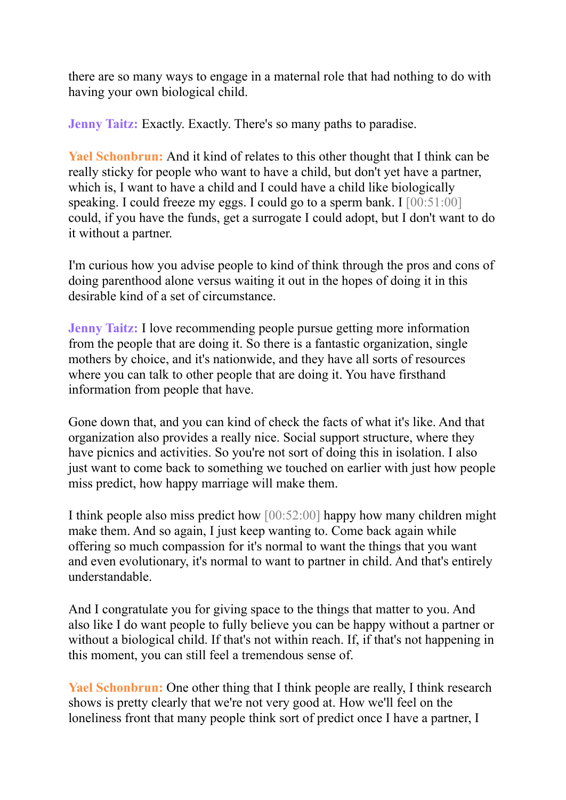there are so many ways to engage in a maternal role that had nothing to do with having your own biological child.

**Jenny Taitz:** Exactly. Exactly. There's so many paths to paradise.

**Yael Schonbrun:** And it kind of relates to this other thought that I think can be really sticky for people who want to have a child, but don't yet have a partner, which is, I want to have a child and I could have a child like biologically speaking. I could freeze my eggs. I could go to a sperm bank. I  $[00:51:00]$ could, if you have the funds, get a surrogate I could adopt, but I don't want to do it without a partner.

I'm curious how you advise people to kind of think through the pros and cons of doing parenthood alone versus waiting it out in the hopes of doing it in this desirable kind of a set of circumstance.

**Jenny Taitz:** I love recommending people pursue getting more information from the people that are doing it. So there is a fantastic organization, single mothers by choice, and it's nationwide, and they have all sorts of resources where you can talk to other people that are doing it. You have firsthand information from people that have.

Gone down that, and you can kind of check the facts of what it's like. And that organization also provides a really nice. Social support structure, where they have picnics and activities. So you're not sort of doing this in isolation. I also just want to come back to something we touched on earlier with just how people miss predict, how happy marriage will make them.

I think people also miss predict how [00:52:00] happy how many children might make them. And so again, I just keep wanting to. Come back again while offering so much compassion for it's normal to want the things that you want and even evolutionary, it's normal to want to partner in child. And that's entirely understandable.

And I congratulate you for giving space to the things that matter to you. And also like I do want people to fully believe you can be happy without a partner or without a biological child. If that's not within reach. If, if that's not happening in this moment, you can still feel a tremendous sense of.

**Yael Schonbrun:** One other thing that I think people are really, I think research shows is pretty clearly that we're not very good at. How we'll feel on the loneliness front that many people think sort of predict once I have a partner, I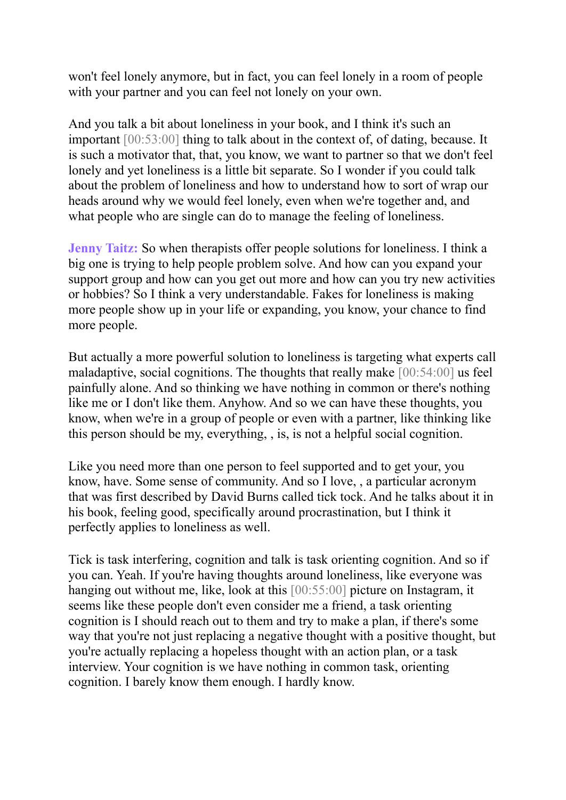won't feel lonely anymore, but in fact, you can feel lonely in a room of people with your partner and you can feel not lonely on your own.

And you talk a bit about loneliness in your book, and I think it's such an important [00:53:00] thing to talk about in the context of, of dating, because. It is such a motivator that, that, you know, we want to partner so that we don't feel lonely and yet loneliness is a little bit separate. So I wonder if you could talk about the problem of loneliness and how to understand how to sort of wrap our heads around why we would feel lonely, even when we're together and, and what people who are single can do to manage the feeling of loneliness.

**Jenny Taitz:** So when therapists offer people solutions for loneliness. I think a big one is trying to help people problem solve. And how can you expand your support group and how can you get out more and how can you try new activities or hobbies? So I think a very understandable. Fakes for loneliness is making more people show up in your life or expanding, you know, your chance to find more people.

But actually a more powerful solution to loneliness is targeting what experts call maladaptive, social cognitions. The thoughts that really make [00:54:00] us feel painfully alone. And so thinking we have nothing in common or there's nothing like me or I don't like them. Anyhow. And so we can have these thoughts, you know, when we're in a group of people or even with a partner, like thinking like this person should be my, everything, , is, is not a helpful social cognition.

Like you need more than one person to feel supported and to get your, you know, have. Some sense of community. And so I love, , a particular acronym that was first described by David Burns called tick tock. And he talks about it in his book, feeling good, specifically around procrastination, but I think it perfectly applies to loneliness as well.

Tick is task interfering, cognition and talk is task orienting cognition. And so if you can. Yeah. If you're having thoughts around loneliness, like everyone was hanging out without me, like, look at this [00:55:00] picture on Instagram, it seems like these people don't even consider me a friend, a task orienting cognition is I should reach out to them and try to make a plan, if there's some way that you're not just replacing a negative thought with a positive thought, but you're actually replacing a hopeless thought with an action plan, or a task interview. Your cognition is we have nothing in common task, orienting cognition. I barely know them enough. I hardly know.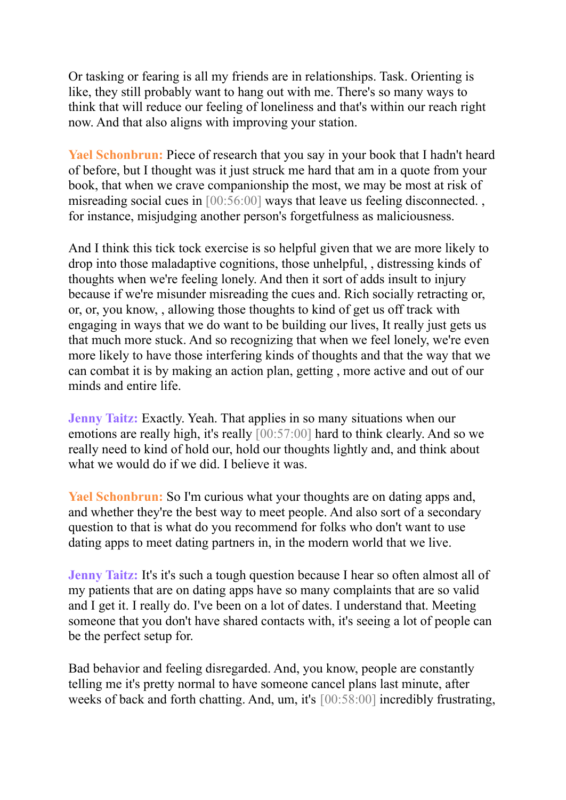Or tasking or fearing is all my friends are in relationships. Task. Orienting is like, they still probably want to hang out with me. There's so many ways to think that will reduce our feeling of loneliness and that's within our reach right now. And that also aligns with improving your station.

**Yael Schonbrun:** Piece of research that you say in your book that I hadn't heard of before, but I thought was it just struck me hard that am in a quote from your book, that when we crave companionship the most, we may be most at risk of misreading social cues in [00:56:00] ways that leave us feeling disconnected., for instance, misjudging another person's forgetfulness as maliciousness.

And I think this tick tock exercise is so helpful given that we are more likely to drop into those maladaptive cognitions, those unhelpful, , distressing kinds of thoughts when we're feeling lonely. And then it sort of adds insult to injury because if we're misunder misreading the cues and. Rich socially retracting or, or, or, you know, , allowing those thoughts to kind of get us off track with engaging in ways that we do want to be building our lives, It really just gets us that much more stuck. And so recognizing that when we feel lonely, we're even more likely to have those interfering kinds of thoughts and that the way that we can combat it is by making an action plan, getting , more active and out of our minds and entire life.

**Jenny Taitz:** Exactly. Yeah. That applies in so many situations when our emotions are really high, it's really [00:57:00] hard to think clearly. And so we really need to kind of hold our, hold our thoughts lightly and, and think about what we would do if we did. I believe it was.

**Yael Schonbrun:** So I'm curious what your thoughts are on dating apps and, and whether they're the best way to meet people. And also sort of a secondary question to that is what do you recommend for folks who don't want to use dating apps to meet dating partners in, in the modern world that we live.

**Jenny Taitz:** It's it's such a tough question because I hear so often almost all of my patients that are on dating apps have so many complaints that are so valid and I get it. I really do. I've been on a lot of dates. I understand that. Meeting someone that you don't have shared contacts with, it's seeing a lot of people can be the perfect setup for.

Bad behavior and feeling disregarded. And, you know, people are constantly telling me it's pretty normal to have someone cancel plans last minute, after weeks of back and forth chatting. And, um, it's [00:58:00] incredibly frustrating,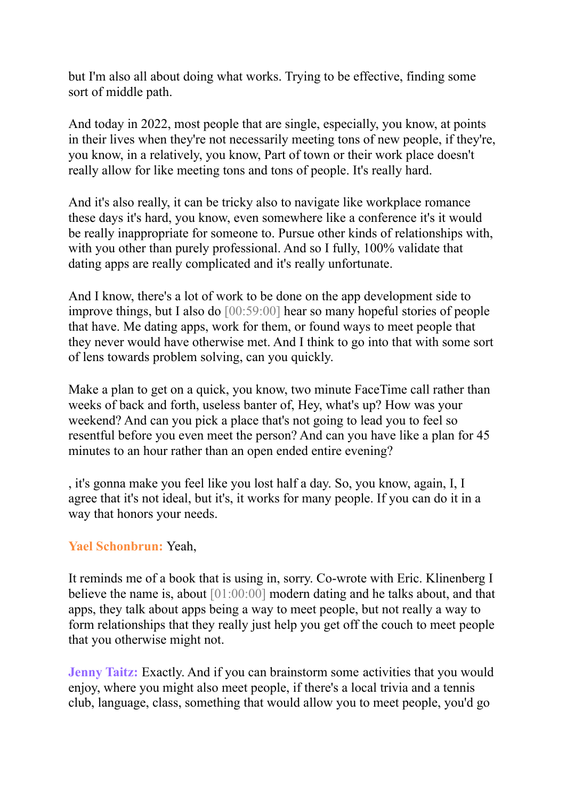but I'm also all about doing what works. Trying to be effective, finding some sort of middle path.

And today in 2022, most people that are single, especially, you know, at points in their lives when they're not necessarily meeting tons of new people, if they're, you know, in a relatively, you know, Part of town or their work place doesn't really allow for like meeting tons and tons of people. It's really hard.

And it's also really, it can be tricky also to navigate like workplace romance these days it's hard, you know, even somewhere like a conference it's it would be really inappropriate for someone to. Pursue other kinds of relationships with, with you other than purely professional. And so I fully, 100% validate that dating apps are really complicated and it's really unfortunate.

And I know, there's a lot of work to be done on the app development side to improve things, but I also do [00:59:00] hear so many hopeful stories of people that have. Me dating apps, work for them, or found ways to meet people that they never would have otherwise met. And I think to go into that with some sort of lens towards problem solving, can you quickly.

Make a plan to get on a quick, you know, two minute FaceTime call rather than weeks of back and forth, useless banter of, Hey, what's up? How was your weekend? And can you pick a place that's not going to lead you to feel so resentful before you even meet the person? And can you have like a plan for 45 minutes to an hour rather than an open ended entire evening?

, it's gonna make you feel like you lost half a day. So, you know, again, I, I agree that it's not ideal, but it's, it works for many people. If you can do it in a way that honors your needs.

## **Yael Schonbrun:** Yeah,

It reminds me of a book that is using in, sorry. Co-wrote with Eric. Klinenberg I believe the name is, about [01:00:00] modern dating and he talks about, and that apps, they talk about apps being a way to meet people, but not really a way to form relationships that they really just help you get off the couch to meet people that you otherwise might not.

**Jenny Taitz:** Exactly. And if you can brainstorm some activities that you would enjoy, where you might also meet people, if there's a local trivia and a tennis club, language, class, something that would allow you to meet people, you'd go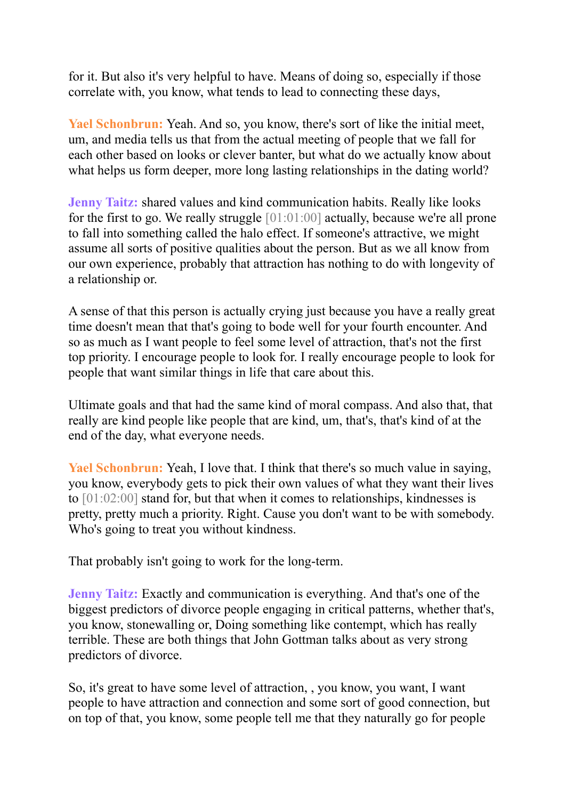for it. But also it's very helpful to have. Means of doing so, especially if those correlate with, you know, what tends to lead to connecting these days,

**Yael Schonbrun:** Yeah. And so, you know, there's sort of like the initial meet, um, and media tells us that from the actual meeting of people that we fall for each other based on looks or clever banter, but what do we actually know about what helps us form deeper, more long lasting relationships in the dating world?

**Jenny Taitz:** shared values and kind communication habits. Really like looks for the first to go. We really struggle [01:01:00] actually, because we're all prone to fall into something called the halo effect. If someone's attractive, we might assume all sorts of positive qualities about the person. But as we all know from our own experience, probably that attraction has nothing to do with longevity of a relationship or.

A sense of that this person is actually crying just because you have a really great time doesn't mean that that's going to bode well for your fourth encounter. And so as much as I want people to feel some level of attraction, that's not the first top priority. I encourage people to look for. I really encourage people to look for people that want similar things in life that care about this.

Ultimate goals and that had the same kind of moral compass. And also that, that really are kind people like people that are kind, um, that's, that's kind of at the end of the day, what everyone needs.

**Yael Schonbrun:** Yeah, I love that. I think that there's so much value in saying, you know, everybody gets to pick their own values of what they want their lives to [01:02:00] stand for, but that when it comes to relationships, kindnesses is pretty, pretty much a priority. Right. Cause you don't want to be with somebody. Who's going to treat you without kindness.

That probably isn't going to work for the long-term.

**Jenny Taitz:** Exactly and communication is everything. And that's one of the biggest predictors of divorce people engaging in critical patterns, whether that's, you know, stonewalling or, Doing something like contempt, which has really terrible. These are both things that John Gottman talks about as very strong predictors of divorce.

So, it's great to have some level of attraction, , you know, you want, I want people to have attraction and connection and some sort of good connection, but on top of that, you know, some people tell me that they naturally go for people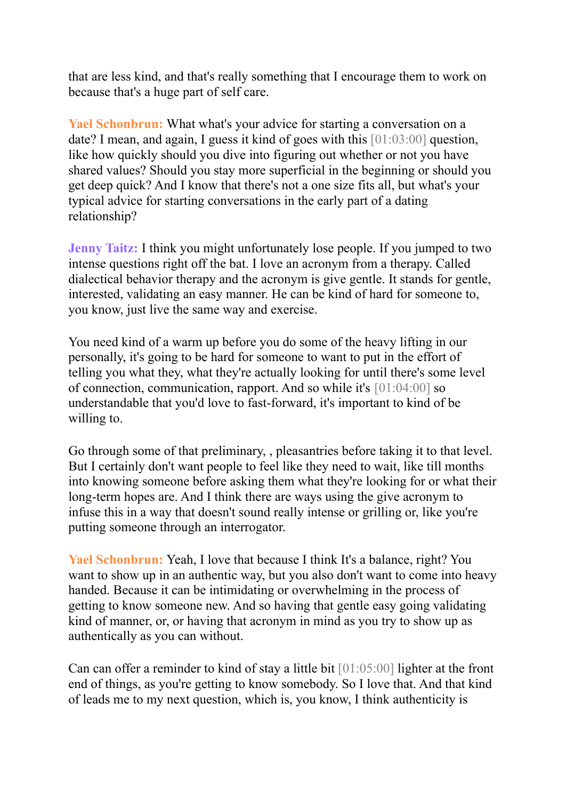that are less kind, and that's really something that I encourage them to work on because that's a huge part of self care.

**Yael Schonbrun:** What what's your advice for starting a conversation on a date? I mean, and again, I guess it kind of goes with this [01:03:00] question, like how quickly should you dive into figuring out whether or not you have shared values? Should you stay more superficial in the beginning or should you get deep quick? And I know that there's not a one size fits all, but what's your typical advice for starting conversations in the early part of a dating relationship?

**Jenny Taitz:** I think you might unfortunately lose people. If you jumped to two intense questions right off the bat. I love an acronym from a therapy. Called dialectical behavior therapy and the acronym is give gentle. It stands for gentle, interested, validating an easy manner. He can be kind of hard for someone to, you know, just live the same way and exercise.

You need kind of a warm up before you do some of the heavy lifting in our personally, it's going to be hard for someone to want to put in the effort of telling you what they, what they're actually looking for until there's some level of connection, communication, rapport. And so while it's [01:04:00] so understandable that you'd love to fast-forward, it's important to kind of be willing to.

Go through some of that preliminary, , pleasantries before taking it to that level. But I certainly don't want people to feel like they need to wait, like till months into knowing someone before asking them what they're looking for or what their long-term hopes are. And I think there are ways using the give acronym to infuse this in a way that doesn't sound really intense or grilling or, like you're putting someone through an interrogator.

**Yael Schonbrun:** Yeah, I love that because I think It's a balance, right? You want to show up in an authentic way, but you also don't want to come into heavy handed. Because it can be intimidating or overwhelming in the process of getting to know someone new. And so having that gentle easy going validating kind of manner, or, or having that acronym in mind as you try to show up as authentically as you can without.

Can can offer a reminder to kind of stay a little bit [01:05:00] lighter at the front end of things, as you're getting to know somebody. So I love that. And that kind of leads me to my next question, which is, you know, I think authenticity is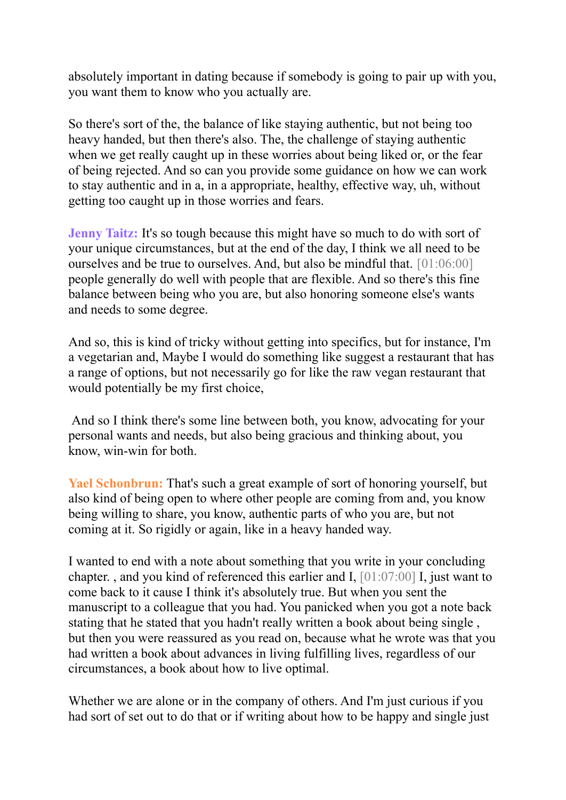absolutely important in dating because if somebody is going to pair up with you, you want them to know who you actually are.

So there's sort of the, the balance of like staying authentic, but not being too heavy handed, but then there's also. The, the challenge of staying authentic when we get really caught up in these worries about being liked or, or the fear of being rejected. And so can you provide some guidance on how we can work to stay authentic and in a, in a appropriate, healthy, effective way, uh, without getting too caught up in those worries and fears.

**Jenny Taitz:** It's so tough because this might have so much to do with sort of your unique circumstances, but at the end of the day, I think we all need to be ourselves and be true to ourselves. And, but also be mindful that. [01:06:00] people generally do well with people that are flexible. And so there's this fine balance between being who you are, but also honoring someone else's wants and needs to some degree.

And so, this is kind of tricky without getting into specifics, but for instance, I'm a vegetarian and, Maybe I would do something like suggest a restaurant that has a range of options, but not necessarily go for like the raw vegan restaurant that would potentially be my first choice,

And so I think there's some line between both, you know, advocating for your personal wants and needs, but also being gracious and thinking about, you know, win-win for both.

**Yael Schonbrun:** That's such a great example of sort of honoring yourself, but also kind of being open to where other people are coming from and, you know being willing to share, you know, authentic parts of who you are, but not coming at it. So rigidly or again, like in a heavy handed way.

I wanted to end with a note about something that you write in your concluding chapter. , and you kind of referenced this earlier and I, [01:07:00] I, just want to come back to it cause I think it's absolutely true. But when you sent the manuscript to a colleague that you had. You panicked when you got a note back stating that he stated that you hadn't really written a book about being single , but then you were reassured as you read on, because what he wrote was that you had written a book about advances in living fulfilling lives, regardless of our circumstances, a book about how to live optimal.

Whether we are alone or in the company of others. And I'm just curious if you had sort of set out to do that or if writing about how to be happy and single just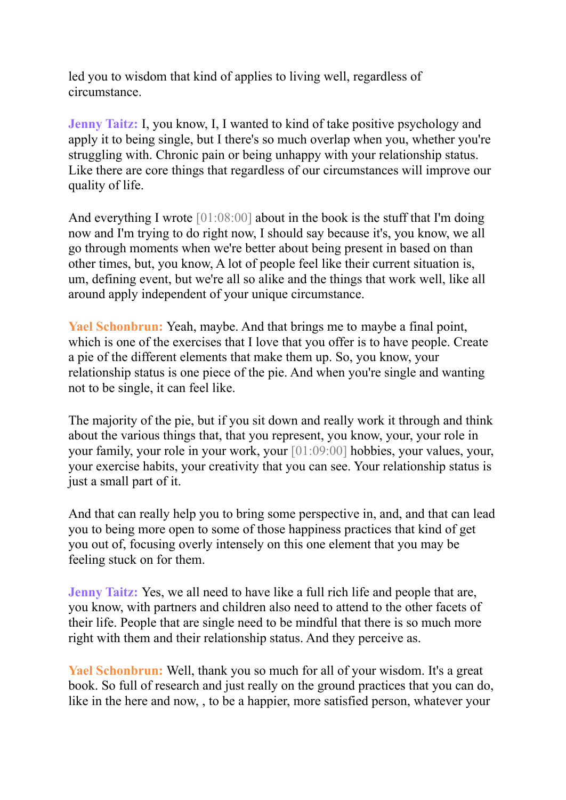led you to wisdom that kind of applies to living well, regardless of circumstance.

**Jenny Taitz:** I, you know, I, I wanted to kind of take positive psychology and apply it to being single, but I there's so much overlap when you, whether you're struggling with. Chronic pain or being unhappy with your relationship status. Like there are core things that regardless of our circumstances will improve our quality of life.

And everything I wrote [01:08:00] about in the book is the stuff that I'm doing now and I'm trying to do right now, I should say because it's, you know, we all go through moments when we're better about being present in based on than other times, but, you know, A lot of people feel like their current situation is, um, defining event, but we're all so alike and the things that work well, like all around apply independent of your unique circumstance.

**Yael Schonbrun:** Yeah, maybe. And that brings me to maybe a final point, which is one of the exercises that I love that you offer is to have people. Create a pie of the different elements that make them up. So, you know, your relationship status is one piece of the pie. And when you're single and wanting not to be single, it can feel like.

The majority of the pie, but if you sit down and really work it through and think about the various things that, that you represent, you know, your, your role in your family, your role in your work, your [01:09:00] hobbies, your values, your, your exercise habits, your creativity that you can see. Your relationship status is just a small part of it.

And that can really help you to bring some perspective in, and, and that can lead you to being more open to some of those happiness practices that kind of get you out of, focusing overly intensely on this one element that you may be feeling stuck on for them.

**Jenny Taitz:** Yes, we all need to have like a full rich life and people that are, you know, with partners and children also need to attend to the other facets of their life. People that are single need to be mindful that there is so much more right with them and their relationship status. And they perceive as.

**Yael Schonbrun:** Well, thank you so much for all of your wisdom. It's a great book. So full of research and just really on the ground practices that you can do, like in the here and now, , to be a happier, more satisfied person, whatever your